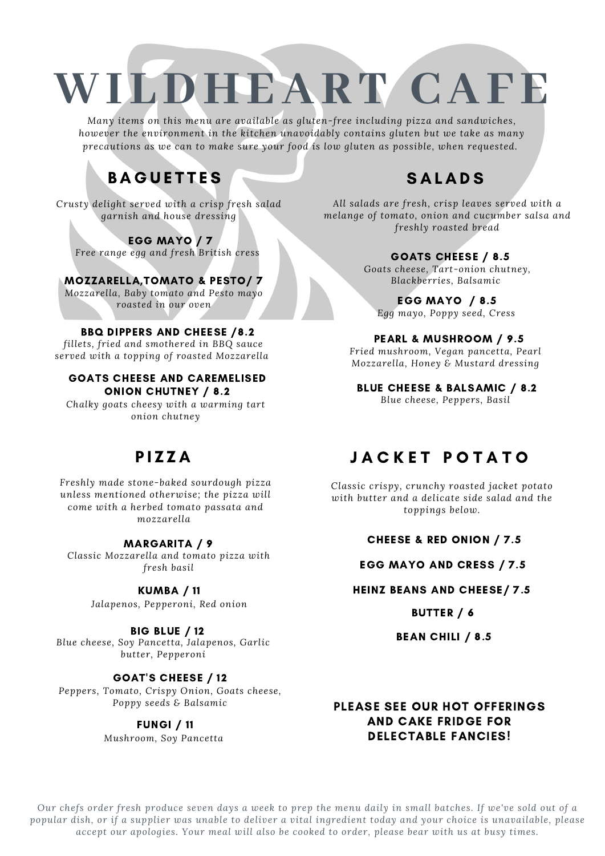# **WI LDHEART CAFE**

*Many items on this menu are available as gluten-free including pizza and sandwiches, however the environment in the kitchen unavoidably contains gluten but we take as many precautions as we can to make sure your food is low gluten as possible, when requested.*

## **BAGUETTES**

*Crusty delight served with a crisp fresh salad garnish and house dressing*

EGG MAYO / 7 *Free range egg and fresh British cress*

MOZZARELLA,TOMATO & PESTO/ 7 *Mozzarella, Baby tomato and Pesto mayo roasted in our oven*

#### BBQ DIPPERS AND CHEESE /8.2

*fillets, fried and smothered in BBQ sauce served with a topping of roasted Mozzarella*

#### GOATS CHEESE AND CAREMELISED ONION CHUTNEY / 8.2

*Chalky goats cheesy with a warming tart onion chutney*

### P I Z Z A

*Freshly made stone-baked sourdough pizza unless mentioned otherwise; the pizza will come with a herbed tomato passata and mozzarella*

#### MARGARITA / 9

*Classic Mozzarella and tomato pizza with fresh basil*

#### KUMBA / 11

*Jalapenos, Pepperoni, Red onion*

BIG BLUE / 12

*Blue cheese, Soy Pancetta, Jalapenos, Garlic butter, Pepperoni*

#### GOAT'S CHEESE / 12

*Peppers, Tomato, Crispy Onion, Goats cheese, Poppy seeds & Balsamic*

#### FUNGI / 11

*Mushroom, Soy Pancetta*

## **SALADS**

*All salads are fresh, crisp leaves served with a melange of tomato, onion and cucumber salsa and freshly roasted bread*

#### GOATS CHEESE / 8.5

*Goats cheese, Tart-onion chutney, Blackberries, Balsamic*

EGG MAYO / 8.5 *Egg mayo, Poppy seed, Cress*

#### PEARL & MUSHROOM / 9.5

*Fried mushroom, Vegan pancetta, Pearl Mozzarella, Honey & Mustard dressing*

BLUE CHEESE & BALSAMIC / 8.2 *Blue cheese, Peppers, Basil*

### JACKET POTATO

*Classic crispy, crunchy roasted jacket potato with butter and a delicate side salad and the toppings below.*

#### CHEESE & RED ONION / 7.5

#### EGG MAYO AND CRESS / 7.5

#### HEINZ BEANS AND CHEESE/ 7.5

BUTTER / 6

BEAN CHILI / 8.5

#### PLEASE SEE OUR HOT OFFERINGS AND CAKE FRIDGE FOR DELECTABLE FANCIES!

Our chefs order fresh produce seven days a week to prep the menu daily in small batches. If we've sold out of a popular dish, or if a supplier was unable to deliver a vital ingredient today and your choice is unavailable, please *accept our apologies. Your meal will also be cooked to order, please bear with us at busy times.*